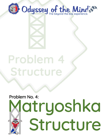

# Problem 4 Structure

# Problem No. 4: Matryoshka Structure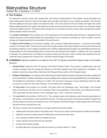# Matryoshka Structure

Problem No. 4: Divisions I, II, III & IV

# **A. The Problem**

It's always the more the merrier with nesting dolls, also known as Matryoshka! In this problem, teams will design and build a Matryoshka Structure made of only balsa wood and glue that holds as much weight as possible. The structure will hold additional structures nested one inside the other. The more structures that are nested, the higher the score! Before weight placement can begin, the nested structures will be removed one-by-one to reveal a tiny character nested inside the smallest structure. The performance will star the tiny character and have a theme about storage that includes placing weights and the structures.

The **creative emphases** of this problem are on the performance, the way the Matryoshka Structure is designed to hold nested structures and be disassembled and reassembled, the tiny character's portrayal by a team member, and how storage and weight-placement are presented in the performance.

The **Spirit of the Problem** is for the team to design, build, and test a Matryoshka Structure— a structure with smaller versions of it nested inside. The structures must only be made of balsa wood, glue if desired, and the outer structure will be tested by placing as much weight as possible onto it. Before weight-placement begins, the assembled structures are disassembled into two interconnected parts to remove the next structure from largest to smallest until a tiny character is released. The performance will imitate the structures being removed with a team member that represents the tiny character being revealed and coming to life. It will also include storage in the theme.

- **B. Limitations** *(Italicized words/terms are defined in the 2021-22 Odyssey of the Mind Program Guide or the Problem Glossary.)*
	- 1. **General Rules:** Read the *2021-22 Odyssey of the Mind Program Guide*. This manual is updated each year and includes important rules for solving the Odyssey of the Mind problems and forms required for competition. This problem cannot be solved without referring to the Program Rules section of the Program Guide.
	- 2. **Problem Clarifications:** The *Odyssey of the Mind Program Guide* explains the types of questions that will be clarified and how to submit them. Problem clarifications can be submitted and accessed at www.odysseyofthemind.com/clarifications. The deadline for submission is February 15, 2022. CCI may find it necessary to issue clarifications after that date, so continue to check for them after February 15 and before each competition.
	- 3. The **time limit** for this problem is 8 minutes. This starts when the Timekeeper says, "Team Begin," and includes setup, removing the structures and tiny character, Style, the presentation of the solution and testing the structure. Time ends when the team finishes or the Timekeeper says, "Time," whichever comes first.
	- 4. The **cost limit** for this problem is \$125 (U.S.). The combined value of all materials used during the presentation of the solution, including Style, cannot exceed this amount. The balsa wood used in the structure tested for weight held and the nested structures are exempt from cost. The Odyssey of the Mind Program Guide explains the cost limit and lists items that are exempt from cost.
	- 5. The team's solution will be presented in an original performance that includes:
		- a. a Matryoshka Structure made of only balsa wood. Glue may be used to hold the pieces of balsa wood together.
		- b. additional structures *nested* inside the Matryoshka structure and each other.
		- c. a tiny character nested inside the smallest structure.
		- d. a team member that portrays the tiny character.
		- e. a theme that includes storage.
		- f. five Style elements including two that are chosen by the team listed in F. Style.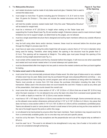#### 6. The **Matryoshka Structure:**

- a. and nested structures must be made of only balsa wood and glue, if desired, that is used to connect the balsa wood.
- b. must weigh no more than 15 grams including glue for Divisions II, III, & IV and no more than 18 grams for Division I. This does not include the nested structures and the tiny character.
- c. will hold the smaller versions nested inside itself. Only this outer "Matryoshka Structure" will be tested for weight-held.
- d. must be a minimum of 8" (20.32cm) in height when resting on the Tester base and supporting the Crusher Board (see Fig. B) and another weight. Extension pieces used to meet minimum height limitations but not to support weight, as determined by the judges, are not allowed.
- e. must be a single assembled structure that is designed and built by team members without any outside influence (see B21).
- f. may be built using other items and/or devices; however, these must be removed before the structure goes through the Weigh-In process (see C2-4).
- g. must have an open area running the entire height that will accept a column that is 2" (5.1cm) in diameter when being used for testing. Therefore, when being tested, the opening in the structure must be greater than 2" (5.1cm). This opening will be measured at Weigh-In. The safety pipe must pass through the opening of the structure during weight placement (see Fig. A.).
- h. must contain all the nested items and the tiny character before time begins. It will move as one when assembled and nested and must remain nested when it is turned sideways and upside down.
- i. must be disassembled after time begins into two parts to remove the nested contents and then put back together for testing.

#### 7. The **balsa wood used in the structures**:

- a. must come from only commercially produced strips of balsa wood. No other type of balsa wood or any variation of balsa wood may be used. Balsa wood may be purchased through www.odysseyofthemind.com/shop — any balsa purchased from here during the current program year will be considered as being within the limitations. Teams must provide an invoice from CCI that shows the purchase information including the date of the transaction. Balsa used in the structure does not count towards the cost limit. If balsa is used as any other part of the presentation, that balsa counts toward the overall cost.
- b. must come from strips with a cross section of 1/8" x 1/8" (0.32cm x 0.32cm) that are at least 36" (0.91m) long when the team receives it. It is not allowed to be cut by the team into strips from oversized wood (greater than 1/8" in width or depth) to meet the 1/8" (0.32cm) cross section limitation.
- c. must have a 1/8" x 1/8" deep (0.32cm x 0.32cm) cross section for most of its length. Some commercial cuts vary, so the allowed cross section dimensions enforced will be 0.115" to 0.135" (0.29cm to 0.34cm). Any piece that does not have a cross section within 0.115" to 0.135" (0.29cm to 0.34cm) will be considered a prohibited piece. Teams are allowed to sand or carve pieces of wood in small areas to form joints as long as the cross section for the rest of its length beyond the joints is within this range.
- d. is not allowed to be hand-picked by anyone other than team members. Team members may request wood to be from a commercially available grade, but no one else may sort and pick specific pieces.
- e. must be cut by the team. The only exceptions are the perpendicular end cuts of the original strip as defined in B7a & b.
- f. must be used "as is." The wood is not allowed to be strengthened in any way. Use of water or hot and/or cold air are not considered strength-enhancing.

**Figure A: Top View of the Opening**

Page 2 of 7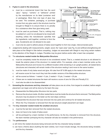#### 8. **If glue is used in the structures:**

- a. must be a commercial brand that has the word "glue," "epoxy," "cement," or "adhesive" printed by the manufacturer on its label (container and/ or packaging). More than one type of glue may be used. The container, packaging, or purchase (height of the safety invoice from any glue used in the structure must be brought to Weigh-In to ensure there is no penalty for a substance other than glue being used.
- b. must be used as purchased. That is, nothing may be added to it, and it is not allowed to be mixed with anything unless the manufacturer specifies that the ingredients, sold together, combine to form the glue. Accelerants are not allowed to be used.



- c. must only be used to adhere pieces of balsa wood together to form two single, interconnected parts.
- 9. Judgements dealing with measurements, weight, wood, the "open area" (see Fig. A) and artificial strengthening will take place at the Weigh-In Site before competing. Judges not associated with Weigh-In may bring certain matters to the attention of the Weigh-In Judges. Penalties may be given before and/or after a team has competed.

#### 10. The **structures nested inside the Matryoshka Structure**:

- a. must be completely inside the structure to be considered *nested*. That is, a nested structure is not allowed to break the exterior plane of the structure it is nested within. For example, when a team member picks up the Matryoshka Structure and moves it to a different location while remaining in an upright position, all nested items (structures and character) will remain inside of the structure nesting it and move to the same location.
- b. must be made of only balsa wood and glue. All rules from B7 & B8 apply to the nested structures.
- c. will receive score for how much they look like smaller versions of the Matryoshka structure.
- d. will be scored as follows: 1 nested  $= 5$  pts, 2 nested  $= 10$  pts, 3 nested  $= 20$  pts
- e. if there are no nested structures the team will receive a score of zero for D5a and Penalty E12.
- f. must also be able to be disassembled
- 11. **Unnesting the structures and tiny character** will take place one at a time, from largest to smallest, before weight placement can begin and will be done by the team this way:
	- a. Disassemble the Matryoshka Structure into two parts.
	- b. Remove the structure inside. All other nested items must be inside the structure that is removed. The Matryoshka structure may be placed on the tester as the next steps continue.
	- c. Disassemble the structure that was removed into two parts and continue for all nested structures.
	- d. When the Tiny Character is removed from the last structure weight placement can begin.

#### 12. The **tiny character nested inside the smallest structure**:

- a. must be the last item removed from the nested structures.
- b. does not have to be made of balsa wood.
- c. will be portrayed by a team member in the performance. As the tiny character is removed from the structure, the team member portraying the tiny character will also be revealed in the performance.

#### 13. The **performance**:

- a. will mimic the nested structures being removed and the tiny character being revealed.
- b. can have a theme about anything the team wishes, but it must include storage, the structures being revealed, and the tiny character.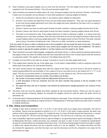- 14. Team members must place weights one at a time onto the structure. The first weight must be the Crusher Board supplied by the Tournament Director. This will count towards weight held.
- 15. Team members are required to safely select, lift, carry, and place weights onto the structure. Division I and Division II teams are not required, but are allowed, to have adult assistance in placing weights as follows:
	- a. Adults are not allowed to help any team in any division select weights for placement.
	- b. Division I and II teams will determine if they will use limited adult assistance\*. They may use adult assistance at any time during weight-placement from when the weight has been selected by the team until it is resting in place on the weight stack.
	- c. Division I teams may have an adult assist at least one team member in placing weights heavier than 20 lbs.
	- d. Division II teams may have an adult assist at least one team member in placing weights heavier than 40 lbs.
	- e. The adult is only allowed to help. If the judges determine an adult is selecting a weight, or is doing more than assisting one or more team members, they will instruct the team to remove the weight and place it back onto the unused weights before continuing weight placement. If the weight would not fall to the floor if the team member were to let go, the adult is breaking the rules. There are no other constraints on adult assistance.

### *\*only one adult (18 years or older) is allowed to be on the competition site and assist the team at any time. The adult is allowed to help one or more team members lift, carry, and/or place weights onto the stack (per limitations). The adult is allowed to assist in placing the weights whether or not they helped carry the weight to the Tester.*

- 16. Team members must wear safety goggles, eyeglasses with plastic lenses, or other protective eyewear (approved by the judges) if they are within the Safety Area with their head below the level of the Crusher Board while the structure is supporting weight. This applies to everyone in the Safety Area (see E10).
- 17. A weight must be held on the stack for at least 3 seconds to count in the total weight-held score.
- 18. If the weight stack reaches the top of the safety pipe, it is the team's responsibility to add an extension pipe to the safety pipe (if provided by the Tournament Director).
- 19. The team should present the Staging Area with four copies of the Team List Form found in the forms section at www.odysseyofthemind.com/members or four copies of a list on one side of one or two sheets of 8  $\frac{1}{2}$ " x 11" or A4 paper. This list can be hand-printed or computer-generated. It is for reference only. The list must include:
	- a. the team's membership name and number, the problem and division.
	- b. the number of structures nested inside the Matryoshka Structure for score.
	- c. a brief description of the tiny character and how the team member that portrays it will be revealed in the performance.
	- d. the signal the team will use to indicate it has finished its performance (weight-placement can continue if time allows).
- 20. The team must use only the weights and tester supplied by the tournament director. These can only be used in the normal process of placing weights; for example the weights cannot be used for style, the tester cannot be decorated, etc.
- 21. A reminder about Outside Assistance: All Outside Assistance rules apply. Team members are responsible for making an original design and building an original structure. Photographing or otherwise referencing other teams' solutions is Outside Assistance.

# **C. Site, Setup and Competition**

- 1. A stage or floor area a minimum of 14' x 14' (4.3m x 4.3m) will be used, but a larger area is desirable. This will not be marked. Teams must be prepared to perform in a 14' x 14' (4.3m x 4.3m) area. If space permits, the team may perform and/or place equipment, props, etc. outside the area. If a drop-off exists beyond the dimensions, a caution line may be taped 30" (76.2cm) from the edge of the drop-off. This will serve as a warning, not a boundary.
- 2. Each competition might have specific times to report to Weigh-In, but generally teams report to the Weigh-In Site with its Matryoshka Structure, nested structures, tiny character, and glue, if used, to have it checked for specifications at least 40 minutes before its scheduled performance time. The structure being tested should be brought to weighin without the nested structures and tiny character inside so it can be weighed. The nested structures will also be checked for appearance, and then the team can nest the structures and the tiny character to be ready for the performance to begin.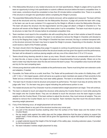- 3. If the Matryoshka Structure or any nested structures do not meet specifications, Weigh-In judges will try to give the team an opportunity to bring it into specification or submit a different structure before the team's competition time. In most cases, corrections should be completed no less than 20 minutes before competition time. There is no penalty if the structure is brought into specification before completing the Weigh-In process.
- 4. The assembled Matryoshka Structure, with all contents removed, will be weighed and measured. The team will then nest all the structures and tiny character into the Matryoshka Structure. A judge will provide the team with a bag, or the team can use its own container if it is approved by the Weigh-In officials to store the Matryoshka Structure. The team will place the structure into the bag/container and the judge will attach a Weigh-In Checklist to it. The structure will remain at the Weigh-In Site until the team picks it up for competition. The team must return to pick up its structure no later than 25 minutes before its scheduled competition time.
- 5. Team members must report to the competition site with everything they will use in their solution at least 20 minutes before they are scheduled to compete. The team is not allowed to remove the Weigh-In Checklist until directed to do so by the Staging Area Judge. If the Weigh-In Checklist has been removed, the bag or container tampered with, or the structure removed, the team may have to repeat the Weigh-In process. Depending on the situation, the team could receive a Spirit of the Problem penalty.
- 6. The team should inform the Staging Area judge if it expects to continue its performance after the structure breaks. Should the team finish its performance before the structure breaks and has given the signal to end the performance, the team will be allowed to continue placing weights until any one of the criteria from C10 or C13 occurs.
- 7. Teams should bring cleaning utensils to clean up any mess. Should a team take an unreasonable amount of time to clean the site, or leave a mess, the judges will assess an Unsportsmanlike Conduct penalty. Others not on the team's roster may help the team clear the site and remove the team's props. The competition area must be left clean and dry for the next competing team.
- 8. A three-prong electrical outlet will be available at the performance area. Teams must bring their own extension cords and adapters, if needed.
- 9. If possible, the Tester will be on a solid, level floor. The Tester will be positioned in the center of a Safety Area, a 60" x 60" (1.5m x 1.5m) taped square, which will serve as a guide so team members are aware of their proximity to the Tester and as a reminder of where they must wear safety glasses. The team is not allowed to move the Tester.
- 10. The team has 8 minutes to test its structure and present its performance. The team must stop all activity when the judge calls "time." Or, the team may give a signal indicating the performance portion is over.
- 11. The nested structures and Tiny Character must be unnested before weight-placement can begin. Time will continue.
- 12. The team is allowed to touch and adjust the structure while placing the Crusher Board on it and while placing the first weight onto the Crusher Board. They are not allowed to touch the structure once the team begins to place weights onto the Crusher Board. If the team wishes to adjust the structure, they must remove all weights. They are allowed to remove the Crusher Board, but it is not required. Team members may then touch the structure before resuming weight placement.
- 13. If any of the following occur, all weight-placement will end when:
	- a. the Crusher Board or any part of the structure touches any corner post.
	- b. any part of the structure touches anything other than the surface of the Tester base and the bottom of the Crusher Board.
	- c. the top weight rests against the safety pipe and the judges determine that the pipe is helping to support the weight stack. If time remains, the team will be given the opportunity to adjust that weight and continue weight placement.
	- d. a weight extends beyond the height of the full length of the safety pipe, including extension pipes, if provided by the tournament director.
	- e. the team indicates it wishes weight placement to stop.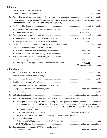# **D. Scoring**

| 2.                  |                                                                                                                                                                                            |  |  |  |
|---------------------|--------------------------------------------------------------------------------------------------------------------------------------------------------------------------------------------|--|--|--|
| 3.                  |                                                                                                                                                                                            |  |  |  |
|                     | In each division, the team with the highest weight-held score will receive 100 points. All other structures will receive<br>a corresponding score based on the percentage of weight held.) |  |  |  |
| 4.                  |                                                                                                                                                                                            |  |  |  |
|                     | a.<br>$b_{1}$                                                                                                                                                                              |  |  |  |
| 5.                  |                                                                                                                                                                                            |  |  |  |
|                     | a.                                                                                                                                                                                         |  |  |  |
|                     | b.                                                                                                                                                                                         |  |  |  |
| 6.                  |                                                                                                                                                                                            |  |  |  |
| 7.                  |                                                                                                                                                                                            |  |  |  |
|                     |                                                                                                                                                                                            |  |  |  |
|                     | b.                                                                                                                                                                                         |  |  |  |
| 8.                  |                                                                                                                                                                                            |  |  |  |
|                     | a.                                                                                                                                                                                         |  |  |  |
|                     | b.<br>Maximum possible: 200 points                                                                                                                                                         |  |  |  |
| <b>E. Penalties</b> |                                                                                                                                                                                            |  |  |  |
| 1.                  |                                                                                                                                                                                            |  |  |  |

| 2. |                                                                                                                                                                                                                                                                                                                                                                                           |  |
|----|-------------------------------------------------------------------------------------------------------------------------------------------------------------------------------------------------------------------------------------------------------------------------------------------------------------------------------------------------------------------------------------------|--|
| 3. |                                                                                                                                                                                                                                                                                                                                                                                           |  |
| 4. |                                                                                                                                                                                                                                                                                                                                                                                           |  |
| 5. | Having someone other than team members cut pieces of wood,                                                                                                                                                                                                                                                                                                                                |  |
|    |                                                                                                                                                                                                                                                                                                                                                                                           |  |
| 6. |                                                                                                                                                                                                                                                                                                                                                                                           |  |
| 7. |                                                                                                                                                                                                                                                                                                                                                                                           |  |
| 8. | Structure does not meet specifications and is not corrected before completing Weigh-In*:                                                                                                                                                                                                                                                                                                  |  |
|    | Overweight structure (Weight will be determined by the official gram scale for each competition.): Any structure<br>a.<br>weighing more than 15 grams (18 grams for Div. I) will receive -5 points for every 0.1 gram overweight up to 2<br>grams. Two or more grams overweight will receive zero score for weight-held. The penalty must not exceed the<br>calculated weight-held score. |  |
|    | b.                                                                                                                                                                                                                                                                                                                                                                                        |  |
|    | (Not assessed if it is an irregularity of that piece and the rest is within limitations)                                                                                                                                                                                                                                                                                                  |  |
|    | Undersized Structure:<br>$C_{r}$                                                                                                                                                                                                                                                                                                                                                          |  |
|    |                                                                                                                                                                                                                                                                                                                                                                                           |  |
|    |                                                                                                                                                                                                                                                                                                                                                                                           |  |
| 9. | Open area does not accept the 2" (5.1cm) diameter column                                                                                                                                                                                                                                                                                                                                  |  |
|    |                                                                                                                                                                                                                                                                                                                                                                                           |  |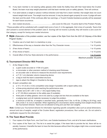- 10. If any team member is not wearing safety glasses while inside the Safety Area with their head below the Crusher Board, the team must stop weight placement until that team member puts on safety glasses. Time will continue.
- 11. If an adult selects a weight or places it without direction and help from a team member, that weight does not count toward weight-held score. The weight must be removed. It may be placed again properly for score. A judge will warn the team and the adult. If this continues after two warnings, a 10-point Outside Assistance penalty will be assessed for each future occurrence.
- 12. Zero nested structures.............................................zero score for D5a and -15 points Spirit of the Problem Penalty

*\*These penalties will be substituted with a weight-held score of zero if, in the aggregate, that is less of a penalty. Teams that don't present a scored element of the problem (see D. Scoring) will not receive a penalty; they will receive a zero score for that category, except for having zero nested structures.*

## **F. Style** *(Elaboration of the problem solution; use four copies of the Style Form from the 2021-22 Odyssey of the Mind Program Guide.)*

|  | Maximum possible: 50 points |
|--|-----------------------------|

# **G.Tournament Director Will Provide**

- 1. At the Weigh-In Site:
	- a. a gram scale accurate to 1/10th of a gram.
	- b. a micrometer or other precision method of checking wood thickness.
	- c. an accurate ruler or device to measure the structure's size requirements.
	- d. a 2" (5.1 cm) diameter column-measuring device.
	- e. a bag to hold the team's assembled structure.
	- f. tape to attach the Weigh-In Checklist to the bag.
- 2. At each competition site:
	- a. a 14' x 14' (4.3m x 4.3m) competition area (larger if possible) with a taped safety area.
	- b. a three-prong electrical outlet reaching the performance area.
	- c. a Tester and a 60" x 60" (1.5m x 1.5m) taped Safety Area.
	- d. a 12" (30.48cm) extension to the safety pipe (if available).
	- e. three pairs of safety glasses: one to be used by a judge and two that are available to the team.
	- f. a judging team and all materials necessary to judge this problem.
	- g. a minimum of 400 lbs. of weights in assorted sizes, generally from 5 lbs. to 45 lbs. (2.28kg to 20.41kg), each with a hole 2" (5.1cm) in diameter. When registering for a tournament, teams needing more weight should notify the Tournament Director. Teams are not allowed to bring and use their own weights.

*Note: Contact your Tournament Director for information regarding specific competition sites such as actual dimensions, amount and size of weights, weight of the Crusher Board, registration procedures, floor surface, etc. Do not submit a clarification request for this information.*

# **H. The Team Must Provide**

- 1. Four copies of its Style Form, one Cost Form, one Outside Assistance Form, and all of its team clarifications.
- 2. Four copies of the Team List. This list is to assist the judges. If the team fails to provide the list, there will be no penalty; however, it benefits the team to have the lists because without them the judges might miss a scored aspect of the performance.